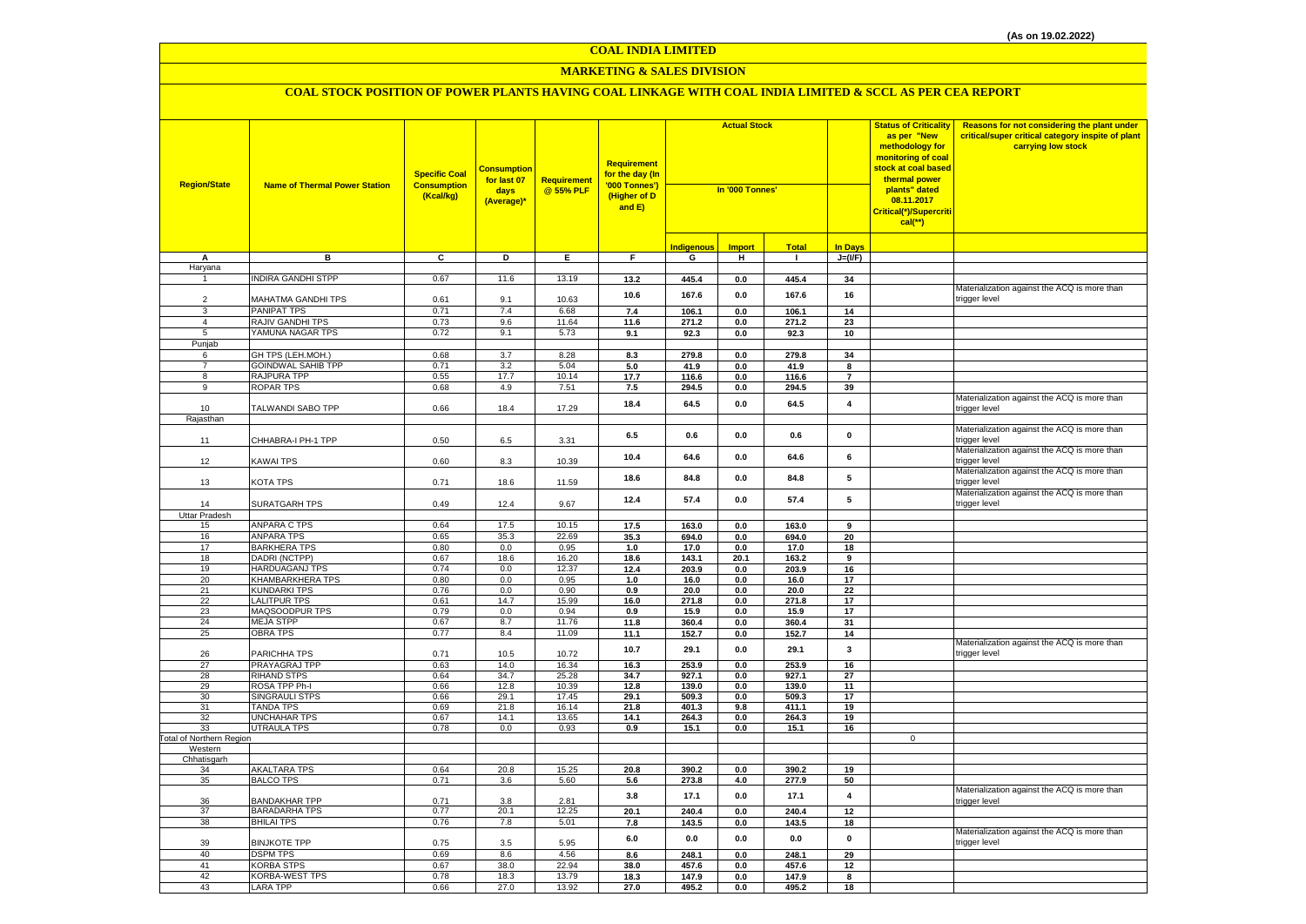#### **MARKETING & SALES DIVISION**

| <b>Region/State</b>             | <b>Name of Thermal Power Station</b>      | <b>Specific Coal</b><br><b>Consumption</b><br>(Kcal/kg) | <b>Consumption</b><br>for last 07<br>days<br>(Average)* | <b>Requirement</b><br>@ 55% PLF | <b>Requirement</b><br>for the day (In<br>'000 Tonnes')<br>(Higher of D<br>and E) | <b>Actual Stock</b><br>In '000 Tonnes' |                |                |                         | <b>Status of Criticality</b><br>as per "New<br>methodology for<br><mark>monitoring of coal</mark><br>stock at coal based<br>thermal power<br>plants" dated<br>08.11.2017<br>Critical(*)/Supercriti<br>$cal$ (**) | Reasons for not considering the plant under<br>critical/super critical category inspite of plant<br>carrying low stock |
|---------------------------------|-------------------------------------------|---------------------------------------------------------|---------------------------------------------------------|---------------------------------|----------------------------------------------------------------------------------|----------------------------------------|----------------|----------------|-------------------------|------------------------------------------------------------------------------------------------------------------------------------------------------------------------------------------------------------------|------------------------------------------------------------------------------------------------------------------------|
|                                 |                                           |                                                         |                                                         |                                 |                                                                                  | Indigenous                             | <b>Import</b>  | <b>Total</b>   | <b>In Days</b>          |                                                                                                                                                                                                                  |                                                                                                                        |
| A                               | в                                         | $\overline{c}$                                          | Þ                                                       | E                               | F                                                                                | G                                      | н              | $\mathbf{I}$   | $J=(VF)$                |                                                                                                                                                                                                                  |                                                                                                                        |
| Haryana                         |                                           |                                                         |                                                         |                                 |                                                                                  |                                        |                |                |                         |                                                                                                                                                                                                                  |                                                                                                                        |
| $\mathbf{1}$                    | <b>INDIRA GANDHI STPP</b>                 | 0.67                                                    | 11.6                                                    | 13.19                           | 13.2                                                                             | 445.4                                  | $\bf 0.0$      | 445.4          | 34                      |                                                                                                                                                                                                                  |                                                                                                                        |
|                                 |                                           |                                                         |                                                         |                                 | 10.6                                                                             | 167.6                                  | 0.0            | 167.6          | 16                      |                                                                                                                                                                                                                  | Materialization against the ACQ is more than                                                                           |
| $\overline{2}$                  | MAHATMA GANDHI TPS                        | 0.61                                                    | 9.1                                                     | 10.63                           |                                                                                  |                                        |                |                |                         |                                                                                                                                                                                                                  | trigger level                                                                                                          |
| 3<br>$\overline{4}$             | PANIPAT TPS<br>RAJIV GANDHI TPS           | 0.71<br>0.73                                            | 7.4<br>9.6                                              | 6.68<br>11.64                   | 7.4<br>11.6                                                                      | 106.1<br>271.2                         | 0.0<br>0.0     | 106.1<br>271.2 | 14<br>23                |                                                                                                                                                                                                                  |                                                                                                                        |
| 5                               | YAMUNA NAGAR TPS                          | 0.72                                                    | 9.1                                                     | 5.73                            | 9.1                                                                              | 92.3                                   | 0.0            | 92.3           | 10                      |                                                                                                                                                                                                                  |                                                                                                                        |
| Punjab                          |                                           |                                                         |                                                         |                                 |                                                                                  |                                        |                |                |                         |                                                                                                                                                                                                                  |                                                                                                                        |
| 6                               | GH TPS (LEH.MOH.)                         | 0.68                                                    | 3.7                                                     | 8.28                            | 8.3                                                                              | 279.8                                  | 0.0            | 279.8          | 34                      |                                                                                                                                                                                                                  |                                                                                                                        |
| $\overline{7}$                  | <b>GOINDWAL SAHIB TPP</b>                 | 0.71                                                    | 3.2                                                     | 5.04                            | 5.0                                                                              | 41.9                                   | 0.0            | 41.9           | 8                       |                                                                                                                                                                                                                  |                                                                                                                        |
| 8                               | RAJPURA TPP                               | 0.55                                                    | 17.7                                                    | 10.14                           | 17.7                                                                             | 116.6                                  | 0.0            | 116.6          | $\overline{7}$          |                                                                                                                                                                                                                  |                                                                                                                        |
| 9                               | <b>ROPAR TPS</b>                          | 0.68                                                    | 4.9                                                     | 7.51                            | 7.5                                                                              | 294.5                                  | $\mathbf{0.0}$ | 294.5          | 39                      |                                                                                                                                                                                                                  |                                                                                                                        |
| 10                              | TALWANDI SABO TPP                         | 0.66                                                    | 18.4                                                    | 17.29                           | 18.4                                                                             | 64.5                                   | 0.0            | 64.5           | $\overline{\mathbf{4}}$ |                                                                                                                                                                                                                  | Materialization against the ACQ is more than<br>trigger level                                                          |
| Rajasthan                       |                                           |                                                         |                                                         |                                 |                                                                                  |                                        |                |                |                         |                                                                                                                                                                                                                  |                                                                                                                        |
| 11                              | CHHABRA-I PH-1 TPP                        | 0.50                                                    | 6.5                                                     | 3.31                            | 6.5                                                                              | 0.6                                    | 0.0            | 0.6            | $\pmb{0}$               |                                                                                                                                                                                                                  | Materialization against the ACQ is more than<br>trigger level                                                          |
| 12                              | <b>KAWAI TPS</b>                          | 0.60                                                    | 8.3                                                     | 10.39                           | 10.4                                                                             | 64.6                                   | 0.0            | 64.6           | 6                       |                                                                                                                                                                                                                  | Materialization against the ACQ is more than<br>trigger level                                                          |
| 13                              | KOTA TPS                                  | 0.71                                                    | 18.6                                                    | 11.59                           | 18.6                                                                             | 84.8                                   | 0.0            | 84.8           | 5                       |                                                                                                                                                                                                                  | Materialization against the ACQ is more than<br>trigger level                                                          |
| 14                              | <b>SURATGARH TPS</b>                      | 0.49                                                    | 12.4                                                    | 9.67                            | 12.4                                                                             | 57.4                                   | 0.0            | 57.4           | 5                       |                                                                                                                                                                                                                  | Materialization against the ACQ is more than<br>trigger level                                                          |
| Uttar Pradesh                   | <b>ANPARA C TPS</b>                       | 0.64                                                    | 17.5                                                    | 10.15                           |                                                                                  |                                        |                |                |                         |                                                                                                                                                                                                                  |                                                                                                                        |
| 15<br>16                        | <b>ANPARA TPS</b>                         | 0.65                                                    | 35.3                                                    | 22.69                           | 17.5<br>35.3                                                                     | 163.0<br>694.0                         | $0.0\,$<br>0.0 | 163.0<br>694.0 | 9<br>20                 |                                                                                                                                                                                                                  |                                                                                                                        |
| 17                              | <b>BARKHERA TPS</b>                       | 0.80                                                    | 0.0                                                     | 0.95                            | 1.0                                                                              | 17.0                                   | 0.0            | 17.0           | 18                      |                                                                                                                                                                                                                  |                                                                                                                        |
| 18                              | DADRI (NCTPP)                             | 0.67                                                    | 18.6                                                    | 16.20                           | 18.6                                                                             | 143.1                                  | 20.1           | 163.2          | 9                       |                                                                                                                                                                                                                  |                                                                                                                        |
| 19                              | <b>HARDUAGANJ TPS</b>                     | 0.74                                                    | 0.0                                                     | 12.37                           | 12.4                                                                             | 203.9                                  | $\mathbf{0.0}$ | 203.9          | 16                      |                                                                                                                                                                                                                  |                                                                                                                        |
| 20                              | <b>KHAMBARKHERA TPS</b>                   | 0.80                                                    | 0.0                                                     | 0.95                            | 1.0                                                                              | 16.0                                   | $\mathbf{0.0}$ | 16.0           | 17                      |                                                                                                                                                                                                                  |                                                                                                                        |
| 21                              | <b>KUNDARKI TPS</b>                       | 0.76                                                    | 0.0                                                     | 0.90                            | 0.9                                                                              | 20.0                                   | 0.0            | 20.0           | 22                      |                                                                                                                                                                                                                  |                                                                                                                        |
| 22                              | <b>LALITPUR TPS</b>                       | 0.61                                                    | 14.7                                                    | 15.99                           | 16.0                                                                             | 271.8                                  | 0.0            | 271.8          | 17                      |                                                                                                                                                                                                                  |                                                                                                                        |
| 23                              | MAQSOODPUR TPS                            | 0.79                                                    | 0.0                                                     | 0.94                            | 0.9                                                                              | 15.9                                   | 0.0            | 15.9           | 17                      |                                                                                                                                                                                                                  |                                                                                                                        |
| 24                              | <b>MEJA STPP</b>                          | 0.67                                                    | 8.7                                                     | 11.76                           | 11.8                                                                             | 360.4                                  | 0.0            | 360.4          | 31                      |                                                                                                                                                                                                                  |                                                                                                                        |
| 25                              | <b>OBRA TPS</b>                           | 0.77                                                    | 8.4                                                     | 11.09                           | 11.1                                                                             | 152.7                                  | 0.0            | 152.7          | 14                      |                                                                                                                                                                                                                  | Materialization against the ACQ is more than                                                                           |
| 26                              | PARICHHA TPS                              | 0.71                                                    | 10.5                                                    | 10.72                           | 10.7                                                                             | 29.1                                   | 0.0            | 29.1           | 3                       |                                                                                                                                                                                                                  | trigger level                                                                                                          |
| 27                              | PRAYAGRAJ TPP                             | 0.63                                                    | 14.0                                                    | 16.34                           | $16.3$                                                                           | 253.9                                  | 0.0            | 253.9          | 16                      |                                                                                                                                                                                                                  |                                                                                                                        |
| 28                              | <b>RIHAND STPS</b>                        | 0.64                                                    | 34.7                                                    | 25.28                           | 34.7                                                                             | 927.1                                  | 0.0            | 927.1          | 27                      |                                                                                                                                                                                                                  |                                                                                                                        |
| 29                              | ROSA TPP Ph-I                             | 0.66                                                    | 12.8                                                    | 10.39                           | 12.8                                                                             | 139.0                                  | 0.0            | 139.0          | 11                      |                                                                                                                                                                                                                  |                                                                                                                        |
| 30                              | <b>SINGRAULI STPS</b><br><b>TANDA TPS</b> | 0.66                                                    | 29.1                                                    | 17.45                           | 29.1                                                                             | 509.3                                  | 0.0            | 509.3          | 17                      |                                                                                                                                                                                                                  |                                                                                                                        |
| 31<br>32                        | <b>UNCHAHAR TPS</b>                       | 0.69<br>0.67                                            | 21.8<br>14.1                                            | 16.14<br>13.65                  | 21.8<br>14.1                                                                     | 401.3<br>264.3                         | 9.8<br>0.0     | 411.1<br>264.3 | 19<br>19                |                                                                                                                                                                                                                  |                                                                                                                        |
| 33                              | <b>UTRAULA TPS</b>                        | 0.78                                                    | 0.0                                                     | 0.93                            | 0.9                                                                              | 15.1                                   | 0.0            | 15.1           | 16                      |                                                                                                                                                                                                                  |                                                                                                                        |
| <b>Fotal of Northern Region</b> |                                           |                                                         |                                                         |                                 |                                                                                  |                                        |                |                |                         | $\mathsf{O}\xspace$                                                                                                                                                                                              |                                                                                                                        |
| Western                         |                                           |                                                         |                                                         |                                 |                                                                                  |                                        |                |                |                         |                                                                                                                                                                                                                  |                                                                                                                        |
| Chhatisgarh                     |                                           |                                                         |                                                         |                                 |                                                                                  |                                        |                |                |                         |                                                                                                                                                                                                                  |                                                                                                                        |
| 34                              | <b>AKALTARA TPS</b>                       | 0.64                                                    | 20.8                                                    | 15.25                           | 20.8                                                                             | 390.2                                  | 0.0            | 390.2          | 19                      |                                                                                                                                                                                                                  |                                                                                                                        |
| 35<br>36                        | <b>BALCO TPS</b><br><b>BANDAKHAR TPP</b>  | 0.71<br>0.71                                            | 3.6<br>3.8                                              | 5.60<br>2.81                    | 5.6<br>3.8                                                                       | 273.8<br>17.1                          | 4.0<br>0.0     | 277.9<br>17.1  | 50<br>$\pmb{4}$         |                                                                                                                                                                                                                  | Materialization against the ACQ is more than<br>trigger level                                                          |
| 37                              | <b>BARADARHA TPS</b>                      | 0.77                                                    | 20.1                                                    | 12.25                           | 20.1                                                                             | 240.4                                  | 0.0            | 240.4          | 12                      |                                                                                                                                                                                                                  |                                                                                                                        |
| 38                              | <b>BHILAI TPS</b>                         | 0.76                                                    | 7.8                                                     | 5.01                            | 7.8                                                                              | 143.5                                  | 0.0            | 143.5          | 18                      |                                                                                                                                                                                                                  |                                                                                                                        |
| 39                              | <b>BINJKOTE TPP</b>                       | 0.75                                                    | 3.5                                                     | 5.95                            | $6.0\,$                                                                          | 0.0                                    | 0.0            | 0.0            | $\pmb{0}$               |                                                                                                                                                                                                                  | Materialization against the ACQ is more than<br>trigger level                                                          |
| 40                              | <b>DSPM TPS</b>                           | 0.69                                                    | 8.6                                                     | 4.56                            | 8.6                                                                              | 248.1                                  | $\mathbf{0.0}$ | 248.1          | 29                      |                                                                                                                                                                                                                  |                                                                                                                        |
| 41                              | <b>KORBA STPS</b>                         | 0.67                                                    | 38.0                                                    | 22.94                           | 38.0                                                                             | 457.6                                  | 0.0            | 457.6          | 12                      |                                                                                                                                                                                                                  |                                                                                                                        |
| 42                              | <b>KORBA-WEST TPS</b>                     | 0.78                                                    | 18.3                                                    | 13.79                           | 18.3                                                                             | 147.9                                  | 0.0            | 147.9          | 8                       |                                                                                                                                                                                                                  |                                                                                                                        |
| 43                              | <b>LARA TPP</b>                           | 0.66                                                    | 27.0                                                    | 13.92                           | 27.0                                                                             | 495.2                                  | 0.0            | 495.2          | 18                      |                                                                                                                                                                                                                  |                                                                                                                        |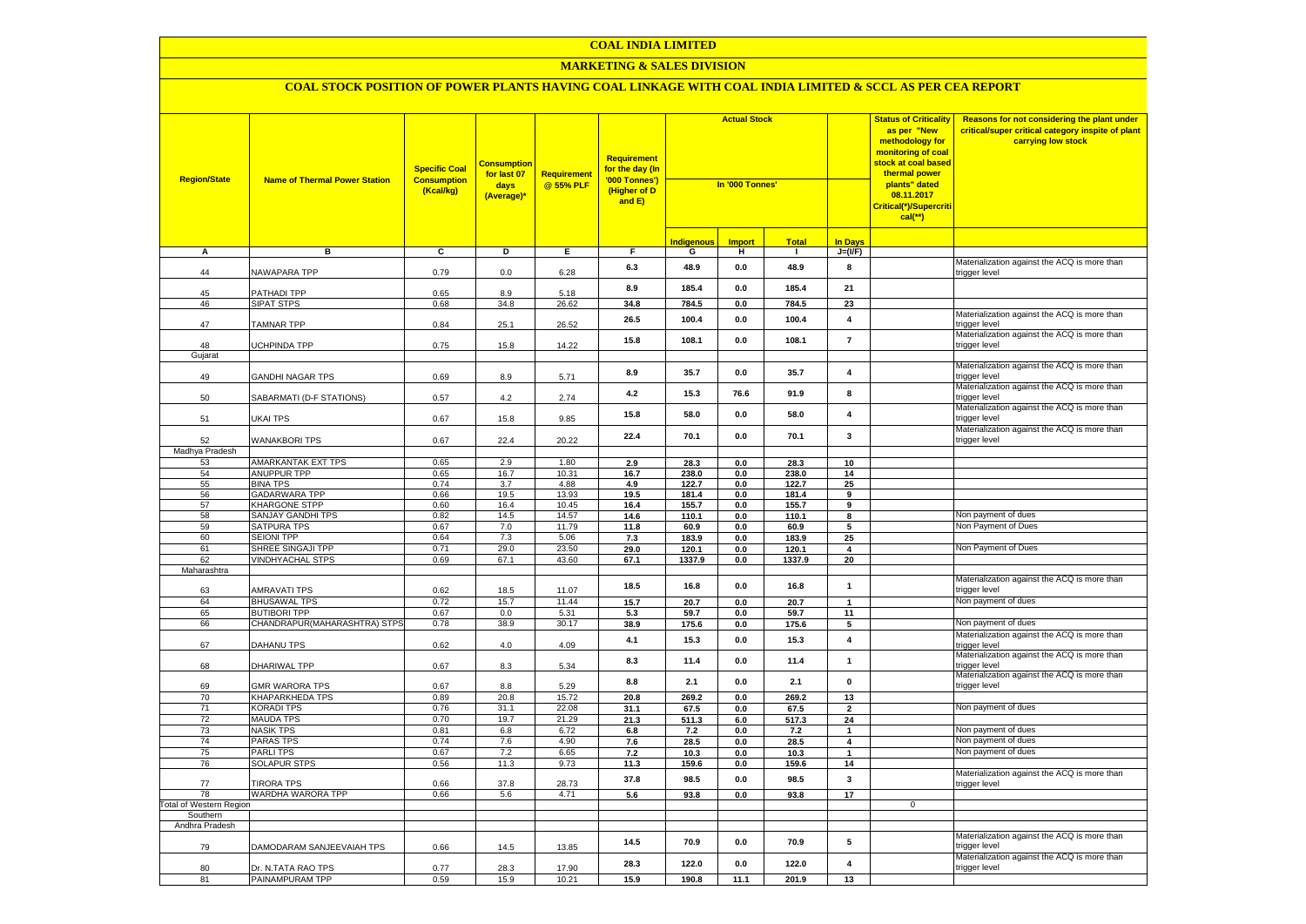#### **MARKETING & SALES DIVISION**

| <b>Region/State</b>            | <b>Name of Thermal Power Station</b>    | <b>Specific Coal</b><br><b>Consumption</b><br>(Kcal/kg) | <b>Consumption</b><br>for last 07<br>days<br>(Average)* | <b>Requirement</b><br>@ 55% PLF | Requirement<br>for the day (In<br>'000 Tonnes')<br>(Higher of D<br>and E) | <b>Actual Stock</b><br>In '000 Tonnes' |               |                |                         | <b>Status of Criticality</b><br>as per "New<br>methodology for<br>monitoring of coal<br>stock at coal based<br>thermal power<br>plants" dated<br>08.11.2017<br>Critical(*)/Supercriti<br>$cal$ (**) | Reasons for not considering the plant under<br>critical/super critical category inspite of plant<br>carrying low stock |
|--------------------------------|-----------------------------------------|---------------------------------------------------------|---------------------------------------------------------|---------------------------------|---------------------------------------------------------------------------|----------------------------------------|---------------|----------------|-------------------------|-----------------------------------------------------------------------------------------------------------------------------------------------------------------------------------------------------|------------------------------------------------------------------------------------------------------------------------|
|                                |                                         |                                                         |                                                         |                                 |                                                                           | Indigenous                             | <b>Import</b> | <b>Total</b>   | <b>In Days</b>          |                                                                                                                                                                                                     |                                                                                                                        |
| A                              | в                                       | C                                                       | D                                                       | Е.                              | F.                                                                        | G                                      | н             | $\mathbf{I}$   | $J=(VF)$                |                                                                                                                                                                                                     |                                                                                                                        |
| 44                             | NAWAPARA TPP                            | 0.79                                                    | 0.0                                                     | 6.28                            | 6.3                                                                       | 48.9                                   | 0.0           | 48.9           | 8                       |                                                                                                                                                                                                     | Materialization against the ACQ is more than<br>trigger level                                                          |
| 45                             | PATHADI TPP                             | 0.65                                                    | 8.9                                                     | 5.18                            | 8.9                                                                       | 185.4                                  | 0.0           | 185.4          | 21                      |                                                                                                                                                                                                     |                                                                                                                        |
| 46                             | SIPAT STPS                              | 0.68                                                    | 34.8                                                    | 26.62                           | 34.8                                                                      | 784.5                                  | 0.0           | 784.5          | 23                      |                                                                                                                                                                                                     |                                                                                                                        |
| 47                             | <b>TAMNAR TPP</b>                       | 0.84                                                    | 25.1                                                    | 26.52                           | 26.5                                                                      | 100.4                                  | 0.0           | 100.4          | 4                       |                                                                                                                                                                                                     | Materialization against the ACQ is more than<br>trigger level                                                          |
| 48                             | UCHPINDA TPP                            | 0.75                                                    | 15.8                                                    | 14.22                           | 15.8                                                                      | 108.1                                  | 0.0           | 108.1          | $\overline{7}$          |                                                                                                                                                                                                     | Materialization against the ACQ is more than<br>trigger level                                                          |
| Gujarat                        |                                         |                                                         |                                                         |                                 |                                                                           |                                        |               |                |                         |                                                                                                                                                                                                     | Materialization against the ACQ is more than                                                                           |
| 49                             | <b>GANDHI NAGAR TPS</b>                 | 0.69                                                    | 8.9                                                     | 5.71                            | 8.9                                                                       | 35.7                                   | 0.0           | 35.7           | 4                       |                                                                                                                                                                                                     | trigger level                                                                                                          |
| 50                             | SABARMATI (D-F STATIONS)                | 0.57                                                    | 4.2                                                     | 2.74                            | 4.2                                                                       | 15.3                                   | 76.6          | 91.9           | 8                       |                                                                                                                                                                                                     | Materialization against the ACQ is more than<br>trigger level                                                          |
| 51                             | UKAI TPS                                | 0.67                                                    | 15.8                                                    | 9.85                            | 15.8                                                                      | 58.0                                   | 0.0           | 58.0           | 4                       |                                                                                                                                                                                                     | Materialization against the ACQ is more than<br>trigger level                                                          |
| 52                             | <b>WANAKBORI TPS</b>                    | 0.67                                                    | 22.4                                                    | 20.22                           | 22.4                                                                      | 70.1                                   | 0.0           | 70.1           | $\mathbf{3}$            |                                                                                                                                                                                                     | Materialization against the ACQ is more than<br>trigger level                                                          |
| Madhya Pradesh                 |                                         |                                                         |                                                         |                                 |                                                                           |                                        |               |                |                         |                                                                                                                                                                                                     |                                                                                                                        |
| 53                             | AMARKANTAK EXT TPS                      | 0.65                                                    | 2.9                                                     | 1.80                            | 2.9                                                                       | 28.3                                   | 0.0           | 28.3           | 10                      |                                                                                                                                                                                                     |                                                                                                                        |
| 54                             | ANUPPUR TPP                             | 0.65                                                    | 16.7                                                    | 10.31                           | 16.7                                                                      | 238.0                                  | 0.0           | 238.0          | 14                      |                                                                                                                                                                                                     |                                                                                                                        |
| 55<br>56                       | <b>BINA TPS</b><br><b>GADARWARA TPP</b> | 0.74<br>0.66                                            | 3.7<br>19.5                                             | 4.88<br>13.93                   | 4.9<br>19.5                                                               | 122.7<br>181.4                         | 0.0<br>0.0    | 122.7<br>181.4 | 25                      |                                                                                                                                                                                                     |                                                                                                                        |
| 57                             | <b>KHARGONE STPP</b>                    | 0.60                                                    | 16.4                                                    | 10.45                           | 16.4                                                                      | 155.7                                  | 0.0           | 155.7          | 9<br>9                  |                                                                                                                                                                                                     |                                                                                                                        |
| 58                             | <b>SANJAY GANDHI TPS</b>                | 0.82                                                    | 14.5                                                    | 14.57                           | 14.6                                                                      | 110.1                                  | 0.0           | 110.1          | 8                       |                                                                                                                                                                                                     | Non payment of dues                                                                                                    |
| 59                             | <b>SATPURA TPS</b>                      | 0.67                                                    | 7.0                                                     | 11.79                           | 11.8                                                                      | 60.9                                   | 0.0           | 60.9           | 5                       |                                                                                                                                                                                                     | Non Payment of Dues                                                                                                    |
| 60                             | <b>SEIONI TPP</b>                       | 0.64                                                    | 7.3                                                     | 5.06                            | 7.3                                                                       | 183.9                                  | 0.0           | 183.9          | 25                      |                                                                                                                                                                                                     |                                                                                                                        |
| 61                             | SHREE SINGAJI TPP                       | 0.71                                                    | 29.0                                                    | 23.50                           | 29.0                                                                      | 120.1                                  | 0.0           | 120.1          | 4                       |                                                                                                                                                                                                     | Non Payment of Dues                                                                                                    |
| 62                             | <b>VINDHYACHAL STPS</b>                 | 0.69                                                    | 67.1                                                    | 43.60                           | 67.1                                                                      | 1337.9                                 | 0.0           | 1337.9         | 20                      |                                                                                                                                                                                                     |                                                                                                                        |
| Maharashtra                    |                                         |                                                         |                                                         |                                 |                                                                           |                                        |               |                |                         |                                                                                                                                                                                                     |                                                                                                                        |
| 63                             | AMRAVATI TPS                            | 0.62                                                    | 18.5                                                    | 11.07                           | 18.5                                                                      | 16.8                                   | 0.0           | 16.8           | $\mathbf{1}$            |                                                                                                                                                                                                     | Materialization against the ACQ is more than<br>trigger level                                                          |
| 64                             | <b>BHUSAWAL TPS</b>                     | 0.72                                                    | 15.7                                                    | 11.44                           | 15.7                                                                      | 20.7                                   | 0.0           | 20.7           | $\mathbf{1}$            |                                                                                                                                                                                                     | Non payment of dues                                                                                                    |
| 65                             | <b>BUTIBORI TPP</b>                     | 0.67                                                    | 0.0                                                     | 5.31                            | 5.3                                                                       | 59.7                                   | 0.0           | 59.7           | 11                      |                                                                                                                                                                                                     |                                                                                                                        |
| 66                             | CHANDRAPUR(MAHARASHTRA) STPS            | 0.78                                                    | 38.9                                                    | 30.17                           | 38.9                                                                      | 175.6                                  | 0.0           | 175.6          | 5                       |                                                                                                                                                                                                     | Non payment of dues                                                                                                    |
| 67                             | DAHANU TPS                              | 0.62                                                    | 4.0                                                     | 4.09                            | 4.1                                                                       | 15.3                                   | $0.0\,$       | 15.3           | $\pmb{4}$               |                                                                                                                                                                                                     | Materialization against the ACQ is more than<br>trigger level                                                          |
| 68                             | DHARIWAL TPP                            | 0.67                                                    | 8.3                                                     | 5.34                            | 8.3                                                                       | 11.4                                   | 0.0           | 11.4           | $\overline{1}$          |                                                                                                                                                                                                     | Materialization against the ACQ is more than<br>trigger level                                                          |
| 69                             | <b>GMR WARORA TPS</b>                   | 0.67                                                    | 8.8                                                     | 5.29                            | 8.8                                                                       | 2.1                                    | $0.0\,$       | 2.1            | $\pmb{0}$               |                                                                                                                                                                                                     | Materialization against the ACQ is more than<br>trigger level                                                          |
| 70                             | <b>KHAPARKHEDA TPS</b>                  | 0.89                                                    | 20.8                                                    | 15.72                           | 20.8                                                                      | 269.2                                  | 0.0           | 269.2          | 13                      |                                                                                                                                                                                                     |                                                                                                                        |
| 71                             | <b>KORADI TPS</b>                       | 0.76                                                    | 31.1                                                    | 22.08                           | 31.1                                                                      | 67.5                                   | 0.0           | 67.5           | $\overline{\mathbf{2}}$ |                                                                                                                                                                                                     | Non payment of dues                                                                                                    |
| 72                             | <b>MAUDA TPS</b>                        | 0.70                                                    | 19.7                                                    | 21.29                           | 21.3                                                                      | 511.3                                  | 6.0           | 517.3          | 24                      |                                                                                                                                                                                                     | Non payment of dues                                                                                                    |
| 73<br>74                       | <b>NASIK TPS</b><br><b>PARAS TPS</b>    | 0.81<br>0.74                                            | 6.8<br>7.6                                              | 6.72<br>4.90                    | 6.8<br>7.6                                                                | 7.2<br>28.5                            | 0.0<br>0.0    | 7.2<br>28.5    | 1<br>4                  |                                                                                                                                                                                                     | Non payment of dues                                                                                                    |
| 75                             | PARLI TPS                               | 0.67                                                    | 7.2                                                     | 6.65                            | 7.2                                                                       | 10.3                                   | 0.0           | 10.3           | -1                      |                                                                                                                                                                                                     | Non payment of dues                                                                                                    |
| 76                             | SOLAPUR STPS                            | 0.56                                                    | 11.3                                                    | 9.73                            | 11.3                                                                      | 159.6                                  | 0.0           | 159.6          | 14                      |                                                                                                                                                                                                     |                                                                                                                        |
| 77                             | <b>TIRORA TPS</b>                       | 0.66                                                    | 37.8                                                    | 28.73                           | 37.8                                                                      | 98.5                                   | 0.0           | 98.5           | $\overline{\mathbf{3}}$ |                                                                                                                                                                                                     | Materialization against the ACQ is more than<br>trigger level                                                          |
| 78                             | WARDHA WARORA TPP                       | 0.66                                                    | 5.6                                                     | 4.71                            | 5.6                                                                       | 93.8                                   | 0.0           | 93.8           | 17                      |                                                                                                                                                                                                     |                                                                                                                        |
| <b>Total of Western Region</b> |                                         |                                                         |                                                         |                                 |                                                                           |                                        |               |                |                         | 0                                                                                                                                                                                                   |                                                                                                                        |
| Southern                       |                                         |                                                         |                                                         |                                 |                                                                           |                                        |               |                |                         |                                                                                                                                                                                                     |                                                                                                                        |
| Andhra Pradesh                 |                                         |                                                         |                                                         |                                 |                                                                           |                                        |               |                |                         |                                                                                                                                                                                                     |                                                                                                                        |
| 79                             | DAMODARAM SANJEEVAIAH TPS               | 0.66                                                    | 14.5                                                    | 13.85                           | 14.5                                                                      | 70.9                                   | 0.0           | 70.9           | 5                       |                                                                                                                                                                                                     | Materialization against the ACQ is more than<br>trigger level                                                          |
| 80                             | Dr. N.TATA RAO TPS                      | 0.77                                                    | 28.3                                                    | 17.90                           | 28.3                                                                      | 122.0                                  | 0.0           | 122.0          | 4                       |                                                                                                                                                                                                     | Materialization against the ACQ is more than<br>trigger level                                                          |
| 81                             | PAINAMPURAM TPP                         | 0.59                                                    | 15.9                                                    | 10.21                           | 15.9                                                                      | 190.8                                  | 11.1          | 201.9          | 13                      |                                                                                                                                                                                                     |                                                                                                                        |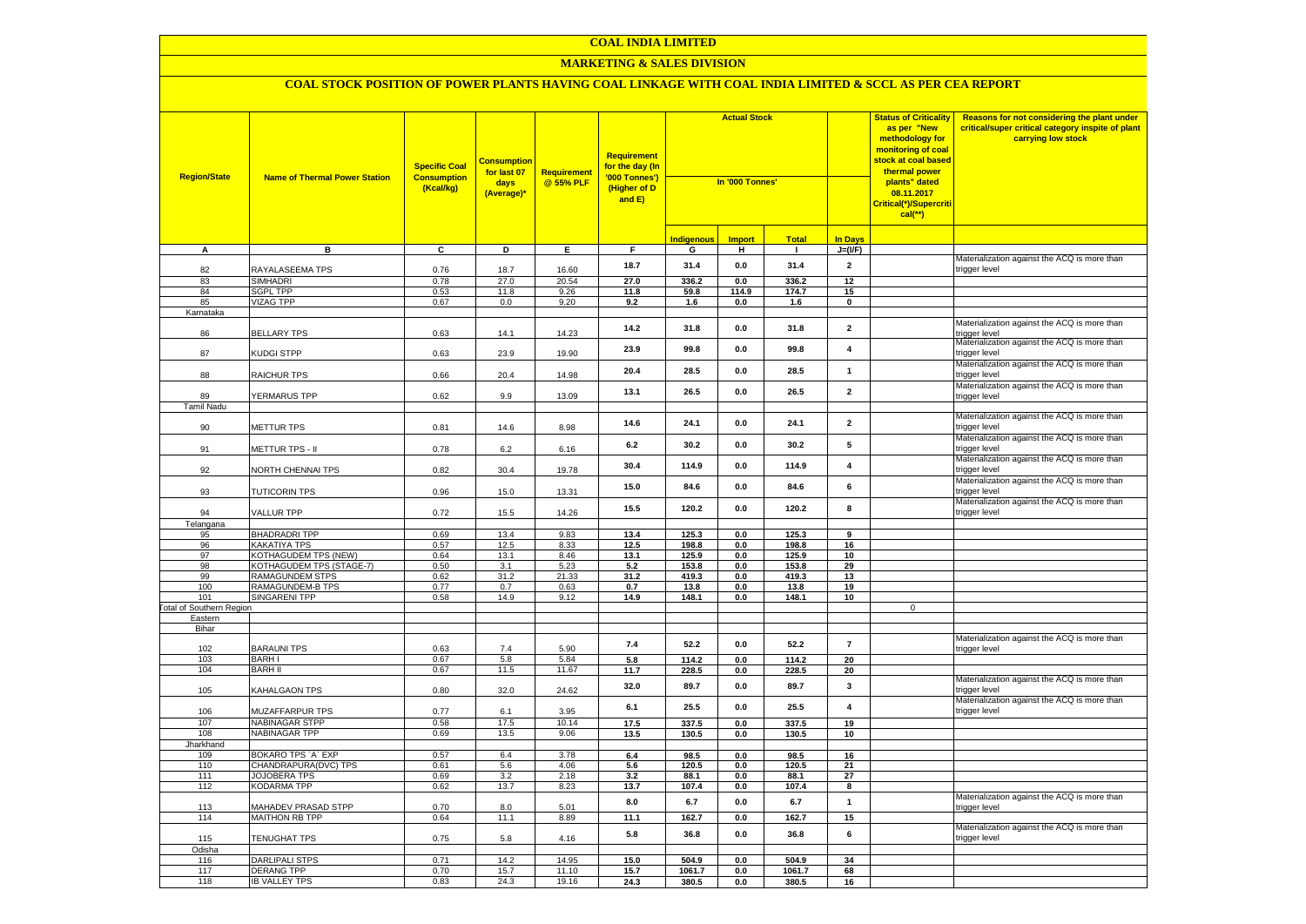#### **MARKETING & SALES DIVISION**

| <b>Region/State</b>             | <b>Name of Thermal Power Station</b>        | <b>Specific Coal</b><br><b>Consumption</b><br>(Kcal/kg) | <b>Consumption</b><br>for last 07<br>days<br>(Average)* | <b>Requirement</b><br>@ 55% PLF | <b>Requirement</b><br>for the day (In<br>'000 Tonnes')<br>(Higher of D<br>and E) | <b>Actual Stock</b><br>In '000 Tonnes' |               |                 |                         | <b>Status of Criticality</b><br>as per "New<br>methodology for<br>monitoring of coal<br><mark>stock at coal based</mark><br>thermal power<br>plants" dated<br>08.11.2017<br>Critical(*)/Supercriti<br>$cal$ (**) | Reasons for not considering the plant under<br>critical/super critical category inspite of plant<br>carrying low stock |
|---------------------------------|---------------------------------------------|---------------------------------------------------------|---------------------------------------------------------|---------------------------------|----------------------------------------------------------------------------------|----------------------------------------|---------------|-----------------|-------------------------|------------------------------------------------------------------------------------------------------------------------------------------------------------------------------------------------------------------|------------------------------------------------------------------------------------------------------------------------|
|                                 |                                             |                                                         |                                                         |                                 |                                                                                  | <b>Indigenous</b>                      | <b>Import</b> | <b>Total</b>    | <b>In Days</b>          |                                                                                                                                                                                                                  |                                                                                                                        |
| A                               | в                                           | C                                                       | D                                                       | Е.                              | F.                                                                               | G                                      | н             | $\mathbf{I}$    | $J=(VF)$                |                                                                                                                                                                                                                  |                                                                                                                        |
| 82                              | RAYALASEEMA TPS                             | 0.76                                                    | 18.7                                                    | 16.60                           | 18.7                                                                             | 31.4                                   | 0.0           | 31.4            | $\overline{2}$          |                                                                                                                                                                                                                  | Materialization against the ACQ is more than<br>trigger level                                                          |
| 83                              | <b>SIMHADRI</b>                             | 0.78                                                    | 27.0                                                    | 20.54                           | 27.0                                                                             | 336.2                                  | 0.0           | 336.2           | 12                      |                                                                                                                                                                                                                  |                                                                                                                        |
| 84                              | <b>SGPL TPP</b>                             | 0.53                                                    | 11.8                                                    | 9.26                            | 11.8                                                                             | 59.8                                   | 114.9         | 174.7           | 15                      |                                                                                                                                                                                                                  |                                                                                                                        |
| 85                              | <b>VIZAG TPP</b>                            | 0.67                                                    | 0.0                                                     | 9.20                            | 9.2                                                                              | 1.6                                    | 0.0           | 1.6             | $\pmb{0}$               |                                                                                                                                                                                                                  |                                                                                                                        |
| Karnataka                       |                                             |                                                         |                                                         |                                 |                                                                                  |                                        |               |                 |                         |                                                                                                                                                                                                                  |                                                                                                                        |
| 86                              | <b>BELLARY TPS</b>                          | 0.63                                                    | 14.1                                                    | 14.23                           | 14.2                                                                             | 31.8                                   | 0.0           | 31.8            | $\overline{\mathbf{2}}$ |                                                                                                                                                                                                                  | Materialization against the ACQ is more than<br>trigger level                                                          |
| 87                              | KUDGI STPP                                  | 0.63                                                    | 23.9                                                    | 19.90                           | 23.9                                                                             | 99.8                                   | 0.0           | 99.8            | $\overline{4}$          |                                                                                                                                                                                                                  | Materialization against the ACQ is more than<br>trigger level                                                          |
| 88                              | RAICHUR TPS                                 | 0.66                                                    | 20.4                                                    | 14.98                           | 20.4                                                                             | 28.5                                   | 0.0           | 28.5            | $\mathbf{1}$            |                                                                                                                                                                                                                  | Materialization against the ACQ is more than<br>trigger level                                                          |
| 89                              | YERMARUS TPP                                | 0.62                                                    | 9.9                                                     | 13.09                           | 13.1                                                                             | 26.5                                   | 0.0           | 26.5            | $\overline{2}$          |                                                                                                                                                                                                                  | Materialization against the ACQ is more than<br>trigger level                                                          |
| <b>Tamil Nadu</b>               |                                             |                                                         |                                                         |                                 |                                                                                  |                                        |               |                 |                         |                                                                                                                                                                                                                  |                                                                                                                        |
| 90                              | METTUR TPS                                  | 0.81                                                    | 14.6                                                    | 8.98                            | 14.6                                                                             | 24.1                                   | $0.0\,$       | 24.1            | $\mathbf 2$             |                                                                                                                                                                                                                  | Materialization against the ACQ is more than<br>rigger level                                                           |
| 91                              | METTUR TPS - II                             | 0.78                                                    | 6.2                                                     | 6.16                            | 6.2                                                                              | 30.2                                   | 0.0           | 30.2            | 5                       |                                                                                                                                                                                                                  | Materialization against the ACQ is more than<br>rigger level                                                           |
| 92                              | NORTH CHENNAI TPS                           | 0.82                                                    | 30.4                                                    | 19.78                           | 30.4                                                                             | 114.9                                  | 0.0           | 114.9           | $\overline{\mathbf{4}}$ |                                                                                                                                                                                                                  | Materialization against the ACQ is more than<br>rigger level                                                           |
| 93                              | <b>TUTICORIN TPS</b>                        | 0.96                                                    | 15.0                                                    | 13.31                           | 15.0                                                                             | 84.6                                   | 0.0           | 84.6            | 6                       |                                                                                                                                                                                                                  | Materialization against the ACQ is more than<br>rigger level                                                           |
|                                 |                                             |                                                         |                                                         |                                 | 15.5                                                                             | 120.2                                  | 0.0           | 120.2           | 8                       |                                                                                                                                                                                                                  | Materialization against the ACQ is more than                                                                           |
| 94                              | VALLUR TPP                                  | 0.72                                                    | 15.5                                                    | 14.26                           |                                                                                  |                                        |               |                 |                         |                                                                                                                                                                                                                  | rigger level                                                                                                           |
| Telangana<br>95                 | <b>BHADRADRI TPP</b>                        | 0.69                                                    | 13.4                                                    | 9.83                            | 13.4                                                                             | 125.3                                  | 0.0           | 125.3           | 9                       |                                                                                                                                                                                                                  |                                                                                                                        |
| 96                              | <b>KAKATIYA TPS</b>                         | 0.57                                                    | 12.5                                                    | 8.33                            | 12.5                                                                             | 198.8                                  | 0.0           | 198.8           | 16                      |                                                                                                                                                                                                                  |                                                                                                                        |
| 97                              | <b>KOTHAGUDEM TPS (NEW)</b>                 | 0.64                                                    | 13.1                                                    | 8.46                            | 13.1                                                                             | 125.9                                  | 0.0           | 125.9           | 10                      |                                                                                                                                                                                                                  |                                                                                                                        |
| 98                              | KOTHAGUDEM TPS (STAGE-7)                    | 0.50                                                    | 3.1                                                     | 5.23                            | 5.2                                                                              | 153.8                                  | 0.0           | 153.8           | 29                      |                                                                                                                                                                                                                  |                                                                                                                        |
| 99                              | RAMAGUNDEM STPS                             | 0.62                                                    | 31.2                                                    | 21.33                           | 31.2                                                                             | 419.3                                  | $0.0\,$       | 419.3           | 13                      |                                                                                                                                                                                                                  |                                                                                                                        |
| 100                             | RAMAGUNDEM-B TPS                            | 0.77                                                    | 0.7                                                     | 0.63                            | 0.7                                                                              | 13.8                                   | $0.0\,$       | 13.8            | 19                      |                                                                                                                                                                                                                  |                                                                                                                        |
| 101                             | <b>SINGARENI TPP</b>                        | 0.58                                                    | 14.9                                                    | 9.12                            | 14.9                                                                             | 148.1                                  | 0.0           | 148.1           | 10                      |                                                                                                                                                                                                                  |                                                                                                                        |
| <b>Total of Southern Region</b> |                                             |                                                         |                                                         |                                 |                                                                                  |                                        |               |                 |                         | $\mathsf 0$                                                                                                                                                                                                      |                                                                                                                        |
| Eastern<br>Bihar                |                                             |                                                         |                                                         |                                 |                                                                                  |                                        |               |                 |                         |                                                                                                                                                                                                                  |                                                                                                                        |
|                                 |                                             |                                                         |                                                         |                                 |                                                                                  |                                        |               |                 |                         |                                                                                                                                                                                                                  | Materialization against the ACQ is more than                                                                           |
| 102                             | <b>BARAUNI TPS</b>                          | 0.63                                                    | 7.4                                                     | 5.90                            | 7.4                                                                              | 52.2                                   | 0.0           | 52.2            | $\overline{7}$          |                                                                                                                                                                                                                  | rigger level                                                                                                           |
| 103                             | <b>BARH I</b>                               | 0.67                                                    | 5.8                                                     | 5.84                            | 5.8                                                                              | 114.2                                  | 0.0           | 114.2           | 20                      |                                                                                                                                                                                                                  |                                                                                                                        |
| 104                             | <b>BARH II</b>                              | 0.67                                                    | 11.5                                                    | 11.67                           | 11.7                                                                             | 228.5                                  | 0.0           | 228.5           | 20                      |                                                                                                                                                                                                                  |                                                                                                                        |
| 105                             | KAHALGAON TPS                               | 0.80                                                    | 32.0                                                    | 24.62                           | 32.0                                                                             | 89.7                                   | 0.0           | 89.7            | $\mathbf{3}$            |                                                                                                                                                                                                                  | Materialization against the ACQ is more than<br>rigger level                                                           |
| 106                             | <b>MUZAFFARPUR TPS</b>                      | 0.77                                                    | 6.1                                                     | 3.95                            | 6.1                                                                              | 25.5                                   | 0.0           | 25.5            | $\overline{\mathbf{4}}$ |                                                                                                                                                                                                                  | Materialization against the ACQ is more than<br>rigger level                                                           |
| 107                             | <b>NABINAGAR STPP</b>                       | 0.58                                                    | 17.5                                                    | 10.14                           | 17.5                                                                             | 337.5                                  | 0.0           | 337.5           | 19                      |                                                                                                                                                                                                                  |                                                                                                                        |
| 108                             | <b>NABINAGAR TPP</b>                        | 0.69                                                    | 13.5                                                    | 9.06                            | 13.5                                                                             | 130.5                                  | 0.0           | 130.5           | 10                      |                                                                                                                                                                                                                  |                                                                                                                        |
| Jharkhand                       |                                             |                                                         |                                                         |                                 |                                                                                  |                                        |               |                 |                         |                                                                                                                                                                                                                  |                                                                                                                        |
| 109                             | BOKARO TPS `A` EXP                          | 0.57                                                    | 6.4                                                     | 3.78                            | 6.4                                                                              | 98.5                                   | 0.0           | 98.5            | 16                      |                                                                                                                                                                                                                  |                                                                                                                        |
| 110<br>111                      | CHANDRAPURA(DVC) TPS<br><b>JOJOBERA TPS</b> | 0.61<br>0.69                                            | 5.6<br>3.2                                              | 4.06<br>2.18                    | 5.6<br>3.2                                                                       | 120.5<br>88.1                          | 0.0<br>0.0    | 120.5<br>88.1   | 21<br>27                |                                                                                                                                                                                                                  |                                                                                                                        |
| 112                             | <b>KODARMA TPP</b>                          | 0.62                                                    | 13.7                                                    | 8.23                            | 13.7                                                                             | 107.4                                  | 0.0           | 107.4           | 8                       |                                                                                                                                                                                                                  |                                                                                                                        |
| 113                             | MAHADEV PRASAD STPP                         | 0.70                                                    | 8.0                                                     | 5.01                            | 8.0                                                                              | 6.7                                    | $0.0\,$       | 6.7             | $\mathbf{1}$            |                                                                                                                                                                                                                  | Materialization against the ACQ is more than<br>rigger level                                                           |
| 114                             | <b>MAITHON RB TPP</b>                       | 0.64                                                    | 11.1                                                    | 8.89                            | 11.1                                                                             | 162.7                                  | 0.0           | 162.7           | 15                      |                                                                                                                                                                                                                  |                                                                                                                        |
|                                 |                                             |                                                         |                                                         |                                 |                                                                                  |                                        |               |                 |                         |                                                                                                                                                                                                                  | Materialization against the ACQ is more than                                                                           |
| 115                             | <b>TENUGHAT TPS</b>                         | 0.75                                                    | 5.8                                                     | 4.16                            | 5.8                                                                              | 36.8                                   | $0.0\,$       | 36.8            | 6                       |                                                                                                                                                                                                                  | rigger level                                                                                                           |
| Odisha                          |                                             |                                                         |                                                         |                                 |                                                                                  |                                        |               |                 |                         |                                                                                                                                                                                                                  |                                                                                                                        |
| 116<br>117                      | <b>DARLIPALI STPS</b><br><b>DERANG TPP</b>  | 0.71<br>0.70                                            | 14.2<br>15.7                                            | 14.95<br>11.10                  | 15.0<br>15.7                                                                     | 504.9<br>1061.7                        | 0.0           | 504.9<br>1061.7 | 34                      |                                                                                                                                                                                                                  |                                                                                                                        |
| 118                             | <b>IB VALLEY TPS</b>                        | 0.83                                                    | 24.3                                                    | 19.16                           | 24.3                                                                             | 380.5                                  | 0.0<br>0.0    | 380.5           | 68<br>16                |                                                                                                                                                                                                                  |                                                                                                                        |
|                                 |                                             |                                                         |                                                         |                                 |                                                                                  |                                        |               |                 |                         |                                                                                                                                                                                                                  |                                                                                                                        |